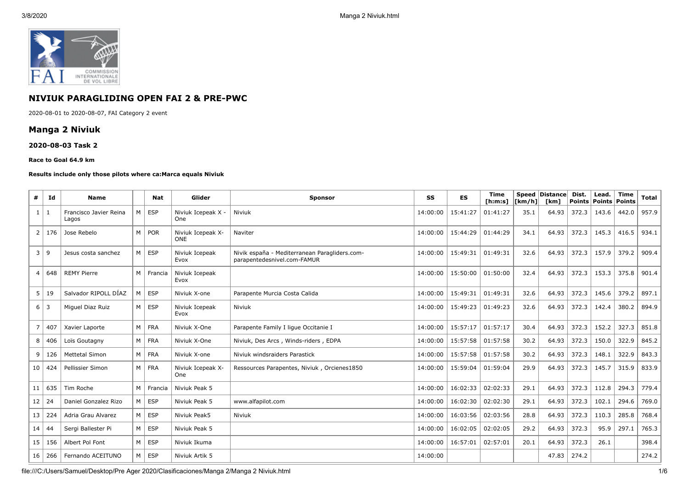

# **NIVIUK PARAGLIDING OPEN FAI 2 & PRE-PWC**

2020-08-01 to 2020-08-07, FAI Category 2 event

## **Manga 2 Niviuk**

### **2020-08-03 Task 2**

#### **Race to Goal 64.9 km**

#### **Results include only those pilots where ca:Marca equals Niviuk**

| #              | Id             | <b>Name</b>                     |                | Nat        | Glider                          | <b>Sponsor</b>                                                               | SS       | ES       | <b>Time</b><br>[ <b>h</b> : <b>m</b> : <b>s</b> ] | [km/h] | <b>Speed Distance</b><br><b>Tkm1</b> | Dist. | Lead.<br><b>Points Points</b> | <b>Time</b><br>Points | <b>Total</b> |
|----------------|----------------|---------------------------------|----------------|------------|---------------------------------|------------------------------------------------------------------------------|----------|----------|---------------------------------------------------|--------|--------------------------------------|-------|-------------------------------|-----------------------|--------------|
| $\mathbf{1}$   | 1              | Francisco Javier Reina<br>Lagos | M              | <b>ESP</b> | Niviuk Icepeak X -<br>One       | Niviuk                                                                       | 14:00:00 | 15:41:27 | 01:41:27                                          | 35.1   | 64.93                                | 372.3 | 143.6                         | 442.0                 | 957.9        |
| $\overline{2}$ | 176            | Jose Rebelo                     | M              | <b>POR</b> | Niviuk Icepeak X-<br><b>ONE</b> | Naviter                                                                      | 14:00:00 | 15:44:29 | 01:44:29                                          | 34.1   | 64.93                                | 372.3 | 145.3                         | 416.5                 | 934.1        |
| 3              | 9              | Jesus costa sanchez             | M              | <b>ESP</b> | Niviuk Icepeak<br>Evox          | Nivik españa - Mediterranean Paragliders.com-<br>parapentedesnivel.com-FAMUR | 14:00:00 | 15:49:31 | 01:49:31                                          | 32.6   | 64.93                                | 372.3 | 157.9                         | 379.2                 | 909.4        |
| $\overline{4}$ | 648            | <b>REMY Pierre</b>              | M              | Francia    | Niviuk Icepeak<br>Evox          |                                                                              | 14:00:00 | 15:50:00 | 01:50:00                                          | 32.4   | 64.93                                | 372.3 | 153.3                         | 375.8                 | 901.4        |
| 5              | 19             | Salvador RIPOLL DÍAZ            | M              | ESP        | Niviuk X-one                    | Parapente Murcia Costa Calida                                                | 14:00:00 | 15:49:31 | 01:49:31                                          | 32.6   | 64.93                                | 372.3 | 145.6                         | 379.2                 | 897.1        |
| 6              | $\overline{3}$ | Miguel Diaz Ruiz                | M              | <b>ESP</b> | Niviuk Icepeak<br>Evox          | Niviuk                                                                       | 14:00:00 | 15:49:23 | 01:49:23                                          | 32.6   | 64.93                                | 372.3 | 142.4                         | 380.2                 | 894.9        |
| $\overline{7}$ | 407            | Xavier Laporte                  | M              | <b>FRA</b> | Niviuk X-One                    | Parapente Family I lique Occitanie I                                         | 14:00:00 | 15:57:17 | 01:57:17                                          | 30.4   | 64.93                                | 372.3 | 152.2                         | 327.3                 | 851.8        |
| 8              | 406            | Loïs Goutagny                   | M <sub>1</sub> | <b>FRA</b> | Niviuk X-One                    | Niviuk, Des Arcs, Winds-riders, EDPA                                         | 14:00:00 | 15:57:58 | 01:57:58                                          | 30.2   | 64.93                                | 372.3 | 150.0                         | 322.9                 | 845.2        |
| 9              | 126            | <b>Mettetal Simon</b>           | M              | <b>FRA</b> | Niviuk X-one                    | Niviuk windsraiders Parastick                                                | 14:00:00 | 15:57:58 | 01:57:58                                          | 30.2   | 64.93                                | 372.3 | 148.1                         | 322.9                 | 843.3        |
| 10             | 424            | Pellissier Simon                | M <sub>1</sub> | <b>FRA</b> | Niviuk Icepeak X-<br>One        | Ressources Parapentes, Niviuk, Orcienes1850                                  | 14:00:00 | 15:59:04 | 01:59:04                                          | 29.9   | 64.93                                | 372.3 | 145.7                         | 315.9                 | 833.9        |
| 11             | 635            | Tim Roche                       | M              | Francia    | Niviuk Peak 5                   |                                                                              | 14:00:00 | 16:02:33 | 02:02:33                                          | 29.1   | 64.93                                | 372.3 | 112.8                         | 294.3                 | 779.4        |
| 12             | 24             | Daniel Gonzalez Rizo            | M              | ESP        | Niviuk Peak 5                   | www.alfapilot.com                                                            | 14:00:00 | 16:02:30 | 02:02:30                                          | 29.1   | 64.93                                | 372.3 | 102.1                         | 294.6                 | 769.0        |
| 13             | 224            | Adria Grau Alvarez              | M              | <b>ESP</b> | Niviuk Peak5                    | Niviuk                                                                       | 14:00:00 | 16:03:56 | 02:03:56                                          | 28.8   | 64.93                                | 372.3 | 110.3                         | 285.8                 | 768.4        |
| 14             | 44             | Sergi Ballester Pi              | M <sub>1</sub> | ESP        | Niviuk Peak 5                   |                                                                              | 14:00:00 | 16:02:05 | 02:02:05                                          | 29.2   | 64.93                                | 372.3 | 95.9                          | 297.1                 | 765.3        |
| 15             | 156            | Albert Pol Font                 | M              | ESP        | Niviuk Ikuma                    |                                                                              | 14:00:00 | 16:57:01 | 02:57:01                                          | 20.1   | 64.93                                | 372.3 | 26.1                          |                       | 398.4        |
| 16             | 266            | Fernando ACEITUNO               | M              | ESP        | Niviuk Artik 5                  |                                                                              | 14:00:00 |          |                                                   |        | 47.83                                | 274.2 |                               |                       | 274.2        |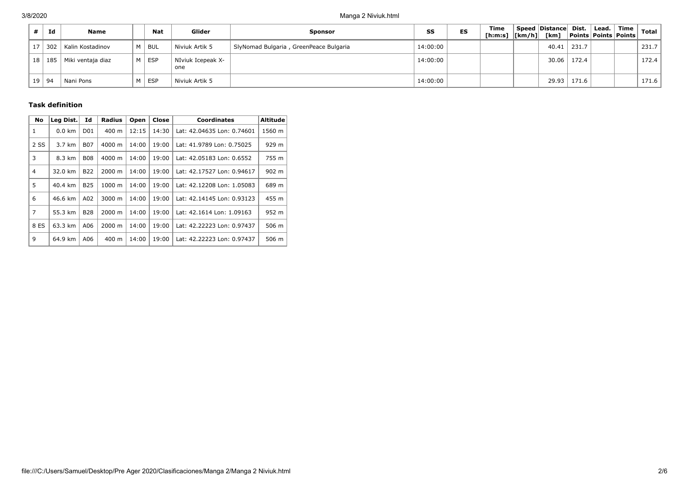| Id      | <b>Name</b>                  |    | Nat        | Glider                   | <b>Sponsor</b>                         | SS       | ES | <b>Time</b><br>[h:m:s] $\lfloor km/h \rfloor$ [km] | Speed Distance Dist. |       | Lead.  <br>  Points   Points   Points | Time | Total |
|---------|------------------------------|----|------------|--------------------------|----------------------------------------|----------|----|----------------------------------------------------|----------------------|-------|---------------------------------------|------|-------|
|         | 17 302 Kalin Kostadinov      |    | ' Bul      | Niviuk Artik 5           | SlyNomad Bulgaria, GreenPeace Bulgaria | 14:00:00 |    |                                                    | 40.41                | 231.7 |                                       |      | 231.7 |
|         | 18   185   Miki ventaja diaz | МI | ESP        | NIviuk Icepeak X-<br>one |                                        | 14:00:00 |    |                                                    | 30.06                | 172.4 |                                       |      | 172.4 |
| 19   94 | Nani Pons                    |    | <b>ESP</b> | Niviuk Artik 5           |                                        | 14:00:00 |    |                                                    | 29.93                | 171.6 |                                       |      | 171.6 |

### **Task definition**

| <b>No</b>      | Leg Dist.        | Id              | <b>Radius</b>   | Open  | Close | <b>Coordinates</b>         | <b>Altitude</b> |
|----------------|------------------|-----------------|-----------------|-------|-------|----------------------------|-----------------|
| 1              | $0.0 \text{ km}$ | D <sub>01</sub> | $400 \text{ m}$ | 12:15 | 14:30 | Lat: 42.04635 Lon: 0.74601 | 1560 m          |
| 2 SS           | 3.7 km           | <b>B07</b>      | 4000 m          | 14:00 | 19:00 | Lat: 41.9789 Lon: 0.75025  | 929 m           |
| 3              | 8.3 km           | <b>B08</b>      | 4000 m          | 14:00 | 19:00 | Lat: 42.05183 Lon: 0.6552  | 755 m           |
| $\overline{4}$ | 32.0 km          | <b>B22</b>      | 2000 m          | 14:00 | 19:00 | Lat: 42.17527 Lon: 0.94617 | $902 \text{ m}$ |
| 5              | 40.4 km          | <b>B25</b>      | 1000 m          | 14:00 | 19:00 | Lat: 42.12208 Lon: 1.05083 | 689 m           |
| 6              | 46.6 km          | A02             | 3000 m          | 14:00 | 19:00 | Lat: 42.14145 Lon: 0.93123 | 455 m           |
| 7              | 55.3 km          | <b>B28</b>      | 2000 m          | 14:00 | 19:00 | Lat: 42.1614 Lon: 1.09163  | 952 m           |
| 8 ES           | 63.3 km          | A06             | 2000 m          | 14:00 | 19:00 | Lat: 42.22223 Lon: 0.97437 | 506 m           |
| q              | 64.9 km          | A06             | 400 m           | 14:00 | 19:00 | Lat: 42.22223 Lon: 0.97437 | 506 m           |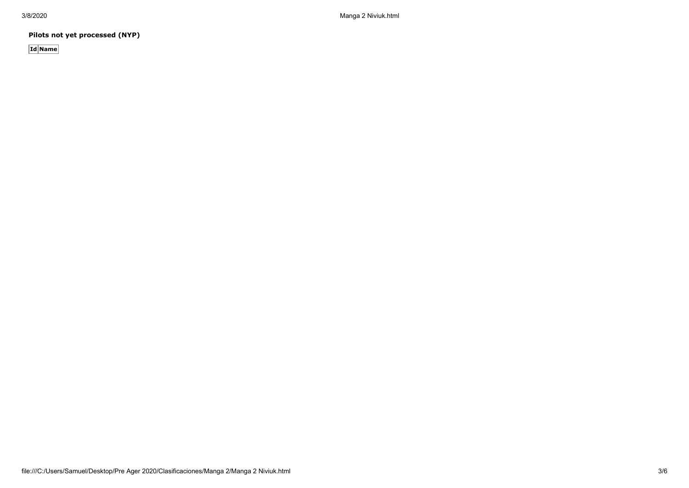3/8/2020 Manga 2 Niviuk.html

**Pilots not yet processed (NYP)**

**Id Name**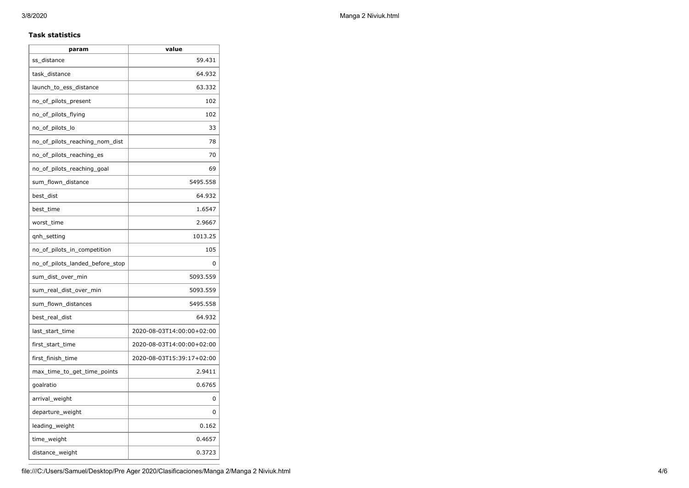## **Task statistics**

| param                           | value                     |
|---------------------------------|---------------------------|
| ss_distance                     | 59.431                    |
| task_distance                   | 64.932                    |
| launch_to_ess_distance          | 63.332                    |
| no_of_pilots_present            | 102                       |
| no_of_pilots_flying             | 102                       |
| no_of_pilots_lo                 | 33                        |
| no_of_pilots_reaching_nom_dist  | 78                        |
| no_of_pilots_reaching_es        | 70                        |
| no_of_pilots_reaching_goal      | 69                        |
| sum_flown_distance              | 5495.558                  |
| best dist                       | 64.932                    |
| best_time                       | 1.6547                    |
| worst_time                      | 2.9667                    |
| qnh_setting                     | 1013.25                   |
| no_of_pilots_in_competition     | 105                       |
| no_of_pilots_landed_before_stop | 0                         |
| sum_dist_over_min               | 5093.559                  |
| sum_real_dist_over_min          | 5093.559                  |
| sum_flown_distances             | 5495.558                  |
| best_real_dist                  | 64.932                    |
| last_start_time                 | 2020-08-03T14:00:00+02:00 |
| first_start_time                | 2020-08-03T14:00:00+02:00 |
| first_finish_time               | 2020-08-03T15:39:17+02:00 |
| max_time_to_get_time_points     | 2.9411                    |
| goalratio                       | 0.6765                    |
| arrival_weight                  | 0                         |
| departure_weight                | 0                         |
| leading_weight                  | 0.162                     |
| time_weight                     | 0.4657                    |
| distance_weight                 | 0.3723                    |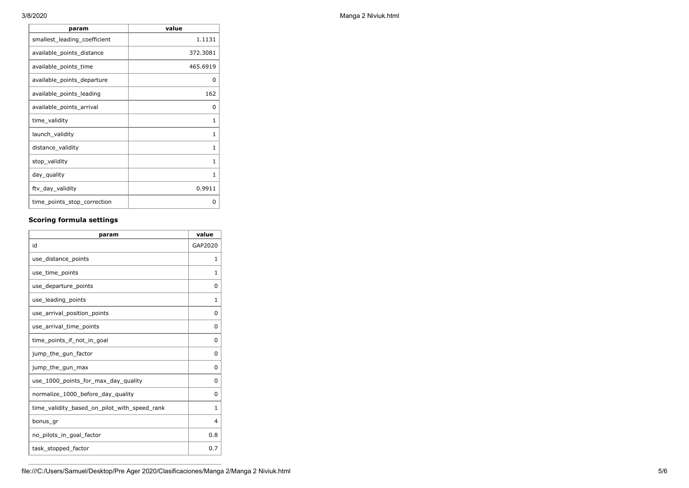| value        |
|--------------|
| 1.1131       |
| 372.3081     |
| 465.6919     |
| <sup>0</sup> |
| 162          |
| <sup>0</sup> |
| 1            |
| 1            |
| $\mathbf{1}$ |
| $\mathbf{1}$ |
| 1            |
| 0.9911       |
| O            |
|              |

## **Scoring formula settings**

| param                                        | value    |
|----------------------------------------------|----------|
| id                                           | GAP2020  |
| use_distance_points                          | 1        |
| use_time_points                              | 1        |
| use_departure_points                         | $\Omega$ |
| use_leading_points                           | 1        |
| use_arrival_position_points                  | 0        |
| use_arrival_time_points                      | 0        |
| time points if not in goal                   | $\Omega$ |
| jump_the_gun_factor                          | $\Omega$ |
| jump_the_gun_max                             | 0        |
| use 1000 points for max day quality          | $\Omega$ |
| normalize_1000_before_day_quality            | 0        |
| time_validity_based_on_pilot_with_speed_rank | 1        |
| bonus_gr                                     | 4        |
| no_pilots_in_goal_factor                     | 0.8      |
| task_stopped_factor                          | 0.7      |